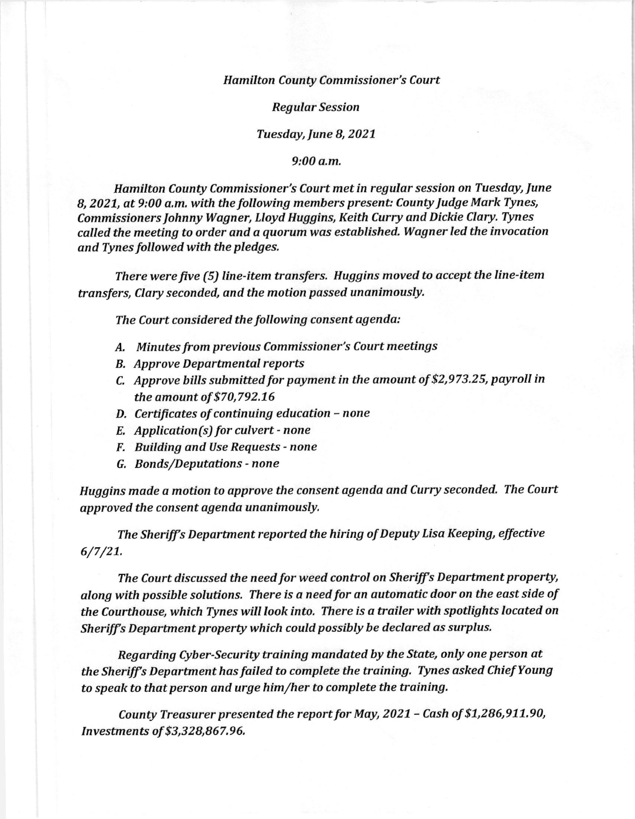## Hamilton County Commissioner's Court

Regular Session

## Tuesday, June B, 2027

9:00 a.m.

Hamilton County Commissioner's Court met in regular session on Tuesday, June B, 2027, at 9:00 a.m, with the following members present: County Judge Mark Tynes, Commissioners Johnny Wagner, Lloyd Huggins, Keith Curry and Dickie Clary. Tynes called the meeting to order and a quorum was established. Wagner led the invocation and Tynes followed with the pledges.

There were ftve (5) line-item transfers, Huggins moved to accept the line-item transfers, Clary seconded, and the motion passed unanimously.

The Court considered the following consent agenda:

- A. Minutes from previous Commissioner's Court meetings
- **B.** Approve Departmental reports
- C, Approve hills submitted for payment in the amount of \$2,973.2 5, payroll in the amount of \$70,792.16
- D, Certificates of continuing education none
- E, Application(s) for culvert none
- F. Building and Use Requests none
- G, Bonds/Deputations none

Huggins made a motion to approve the consent agenda and Curry seconded. The Court approved the consent agenda unanimously.

The Sheriff's Department reported the hiring of Deputy Lisa Keeping, effective 6/7/21.

The Court discussed the need for weed control on Sheriff's Department property, along with possible solutions, There is a need for an automatic door on the east side of the Courthouse, which Tynes will look into. There is a trailer with spotlights located on Sheriff's Department property which could possibly be declared as surplus.

Regarding Cyber-Security training manddted by the State, only one person at the Sheriff's Department has failed to complete the training. Tynes asked Chief Young to speak to that person and urge him/her to complete the training.

County Treasurer presented the report for May, 2021 - Cash of \$1,286,911.90, Investments of \$3,328,867.96.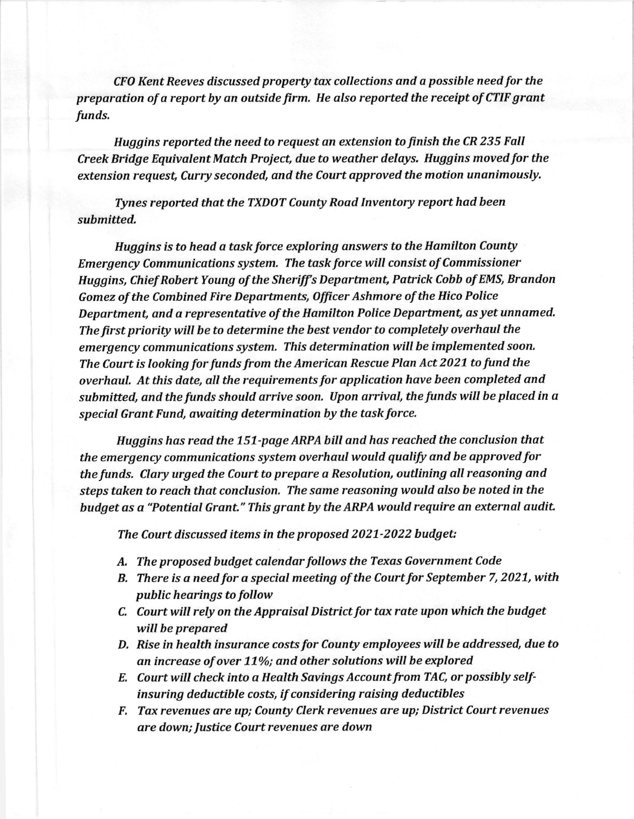CFO Kent Reeves discussed property tax collections and a possible need for the preparation of a report by an outside firm. He also reported the receipt of CTIF grant funds.

Huggins reported the need to request an extension to finish the cR 235 FalI Creek Bridge Equivalent Match Project, due to weather delays. Huggins moved for the extension request, Curry seconded, and the Court approved the motion unanimously.

Tynes reported that the TXDOT County Road Inventory report had been submitted,

Huggins is to head a task force exploring answers to the Hamilton County Emergency Communications system. The task force will consist of Commissioner Huggins, Chief Robert Young of the Sheriff's Department, Patrick Cobb of EMS, Brandon Gomez of the Combined Fire Departments, Officer Ashmore of the Hico Police Department, and a representative of the Hamilton Police Department, as yet unnamed. The first priority will be to determine the best vendor to completely overhaul the emergency communications system. This determination will be implemented soon. The Court is looking for funds from the American Rescue PIan Act 2027 to fund the overhaul. At this date, all the requirements for application have been completed and submitted, and the funds should arrive soon. Upon arrival, the funds will be placed in a special Grant Fund, awaiting determination by the task force.

Huggins has read the 757-page ARPA bill and has reached the conclusion that the emergency communications sysrem overhaul would qualify and be approved for the funds. CIary urged the Court to prepare a Resolution, outlining all reasoning and steps taken to reach that conclusion, The same reasoning would also be noted in the budget as a "Potential Grant." This grant by the ARPA would require an external audit.

The Court discussed items in the proposed 2027-2022 budget:

- A. The proposed budget calendar follows the Texas Government Code
- B. There is a need for a special meeting of the Court for September 7, 2021, with public hearings to follow
- C. Court will rely on the Appraisal District for tax rate upon which the budget will be prepared
- D. Rise in health insurance costs for County employees will be addressed, due to an increase of over 11%; and other solutions will be explored
- E. Court will check into a Health Savings Account from TAC, or possibly selfinsuring deductible costs, if considering raising deductibles
- F, Tax revenues are up; County Clerk revenues are up; District Court revenues are down; Justice Court revenues are down